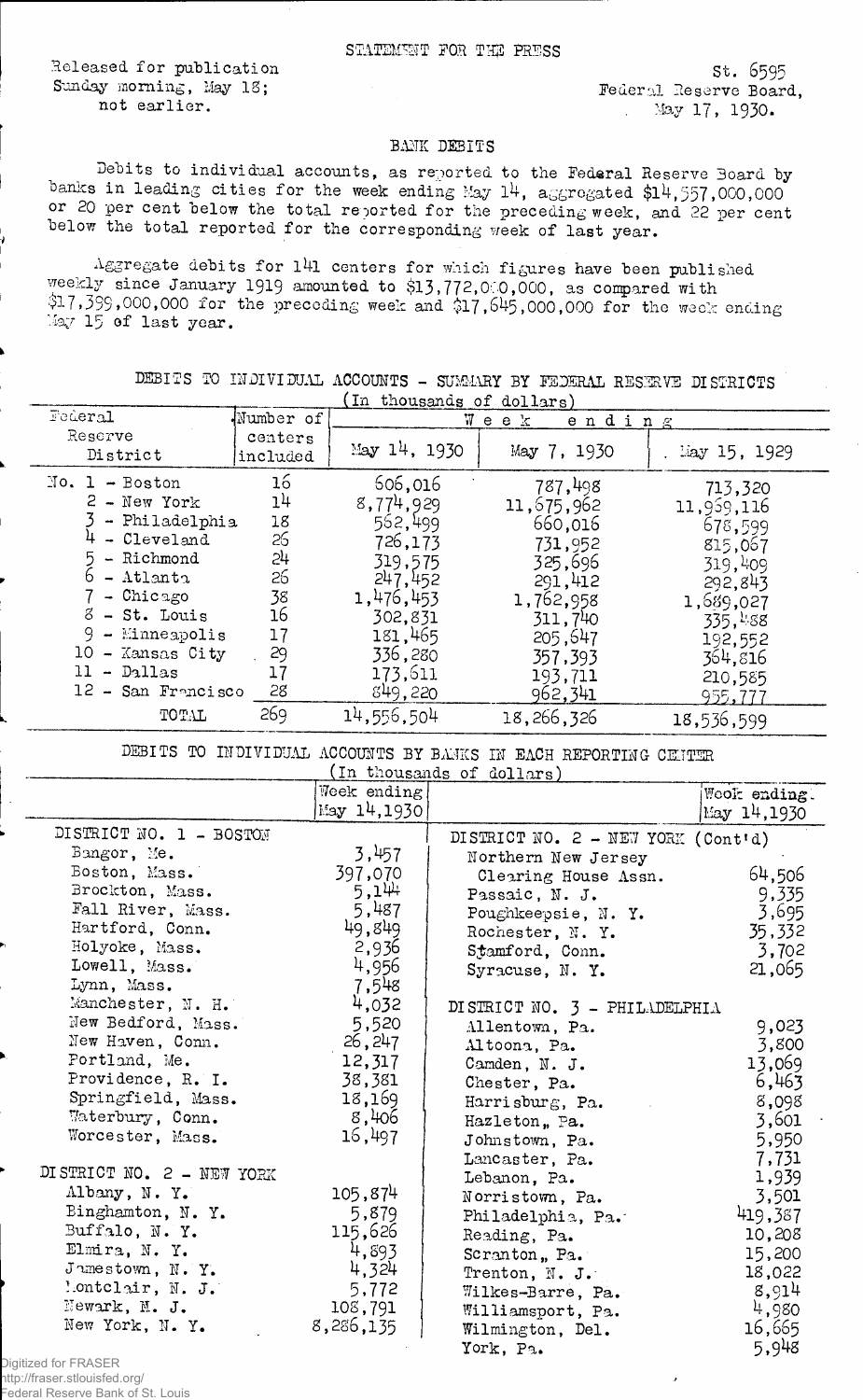Released for publication Sunday morning, May IS; not earlier.

st. 6595 Federal Reserve Board, . May 17, 1930.

## BANK DEBITS

Debits to individual accounts, as reported to the Federal Reserve Board by banks in leading cities for the week ending May  $14$ , aggregated \$14,557,000,000 or 20 per cent below the total reported for the preceding week, and 22 per cent below the total reported for the corresponding week of last year.

Aggregate debits for l4l centers for which figures have been published weekly since January 1919 amounted to \$13,772,000,000, as compared with  $317,399,000,000$  for the preceding week and  $317,645,000,000$  for the week ending May 15 of last year.

DEBITS TO INDIVIDUAL ACCOUNTS - SUMMARY BY FEDERAL RESERVE DISTRICTS

|                                                                                                                                                                                                                                       |                                                                                         | 1n.<br>thousands of                                                                                                                                | corrane)                                                                                                                                               |                                                                                                                                                     |
|---------------------------------------------------------------------------------------------------------------------------------------------------------------------------------------------------------------------------------------|-----------------------------------------------------------------------------------------|----------------------------------------------------------------------------------------------------------------------------------------------------|--------------------------------------------------------------------------------------------------------------------------------------------------------|-----------------------------------------------------------------------------------------------------------------------------------------------------|
| Federal                                                                                                                                                                                                                               | Number of                                                                               | We                                                                                                                                                 | e k<br>ending                                                                                                                                          |                                                                                                                                                     |
| Reserve<br>District                                                                                                                                                                                                                   | centers<br>included                                                                     | May $14, 1930$                                                                                                                                     | May 7, 1930                                                                                                                                            | May 15, 1929                                                                                                                                        |
| $\texttt{No. 1 - Boston}$<br>$2 - New York$<br>- Philadelphia<br>- Cleveland<br>- Richmond<br>$-$ Atlanta<br>- Chicago<br>$8$ - St. Louis<br>- Minneapolis<br>10<br>- Kansas City<br>$11-$<br>- Dallas<br>12 - San Francisco<br>TOTAL | 16<br>1 <sup>1</sup><br>18<br>26<br>24<br>26<br>38<br>16<br>17<br>29<br>17<br>28<br>269 | 606,016<br>8,774,929<br>562,499<br>726,173<br>319,575<br>247,452<br>1,476,453<br>302,831<br>181,465<br>336,280<br>173,611<br>849,220<br>14,556,504 | 787,498<br>11, 675, 962<br>660,016<br>731,952<br>325,696<br>291,412<br>1,762,958<br>311,740<br>205, 647<br>357,393<br>193,711<br>962,341<br>18,266,326 | 713,320<br>11,959,116<br>678,599<br>815,067<br>319,409<br>292,843<br>1,6g9,027<br>335,488<br>192,552<br>364,816<br>210,585<br>955,777<br>18,536,599 |
|                                                                                                                                                                                                                                       |                                                                                         |                                                                                                                                                    |                                                                                                                                                        |                                                                                                                                                     |

DEBITS TO INDIVIDUAL ACCOUNTS BY BANKS IN EACH REPORTING CENTER

|                                          |             | (In thousands of dollars)          |              |
|------------------------------------------|-------------|------------------------------------|--------------|
|                                          | Week ending |                                    | Weok ending. |
|                                          | May 14,1930 |                                    | May 14,1930  |
| DISTRICT NO. 1 - BOSTON                  |             | DISTRICT NO. 2 - NEW YORK (Cont'd) |              |
| Bangor, Me.                              | 3,457       | Northern New Jersey                |              |
| Boston, Mass.                            | 397,070     | Clearing House Assn.               | 64,506       |
| Brockton, Mass.                          | 5,144       | Passaic, N. J.                     | 9,335        |
| Fall River, Mass.                        | 5,487       | Poughkeepsie, N.Y.                 | 3,695        |
| Hartford, Conn.                          | 49,849      | Rochester, N. Y.                   | 35,332       |
| Holyoke, Mass.                           | 2,936       | Stamford, Conn.                    | 3,702        |
| Lowell, Mass.                            | 4,956       | Syracuse, N.Y.                     | 21,065       |
| Lynn, Mass.                              | 7,548       |                                    |              |
| Manchester, N. H.                        | 4,032       | DI STRICT NO. $3$ - PHILADELPHIA   |              |
| New Bedford, Mass.                       | 5,520       | Allentown, Pa.                     | 9,023        |
| New Haven, Conn.                         | 26, 247     | Altoona, Pa.                       | 3,800        |
| Portland, Me.                            | 12,317      | Camden, N. J.                      | 13,069       |
| Providence, R. I.                        | 38,381      | Chester, Pa.                       | 6,463        |
| Springfield, Mass.                       | 18,169      | Harrisburg, Pa.                    | 8,098        |
| Waterbury, Conn.                         | 8,406       | Hazleton, Pa.                      | 3,601        |
| Worcester, Mass.                         | 16,497      | Johnstown, Pa.                     | 5,950        |
|                                          |             | Lancaster, Pa.                     | 7,731        |
| DISTRICT NO. 2 - NEW YORK                |             | Lebanon, Pa.                       | 1,939        |
| Albany, N.Y.                             | 105,874     | Norristown, Pa.                    | 3,501        |
| Binghamton, N.Y.                         | 5,879       | Philadelphia, Pa.                  | 419,387      |
| Buffalo, N.Y.                            | 115,626     | Reading, Pa.                       | 10,208       |
| Elmira, N.Y.                             | 4,893       | Scranton, Pa.                      | 15,200       |
| Jumestown, N.Y.                          | 4,324       | Trenton, N. J.                     | 18,022       |
| Montclair, N. J.                         | 5,772       | Wilkes-Barre, Pa.                  | 8,914        |
| Newark, N. J.                            | 108,791     | Williamsport, Pa.                  | 4,980        |
| New York, N. Y.                          | 8,286,135   | Wilmington, Del.                   | 16,665       |
|                                          |             | York, Pa.                          | 5,948        |
| $\mathcal{L}$ . The set of $\mathcal{L}$ |             |                                    |              |

Digitized for FRASER

http://fraser.stlouisfed.org/ Federal Reserve Bank of St. Louis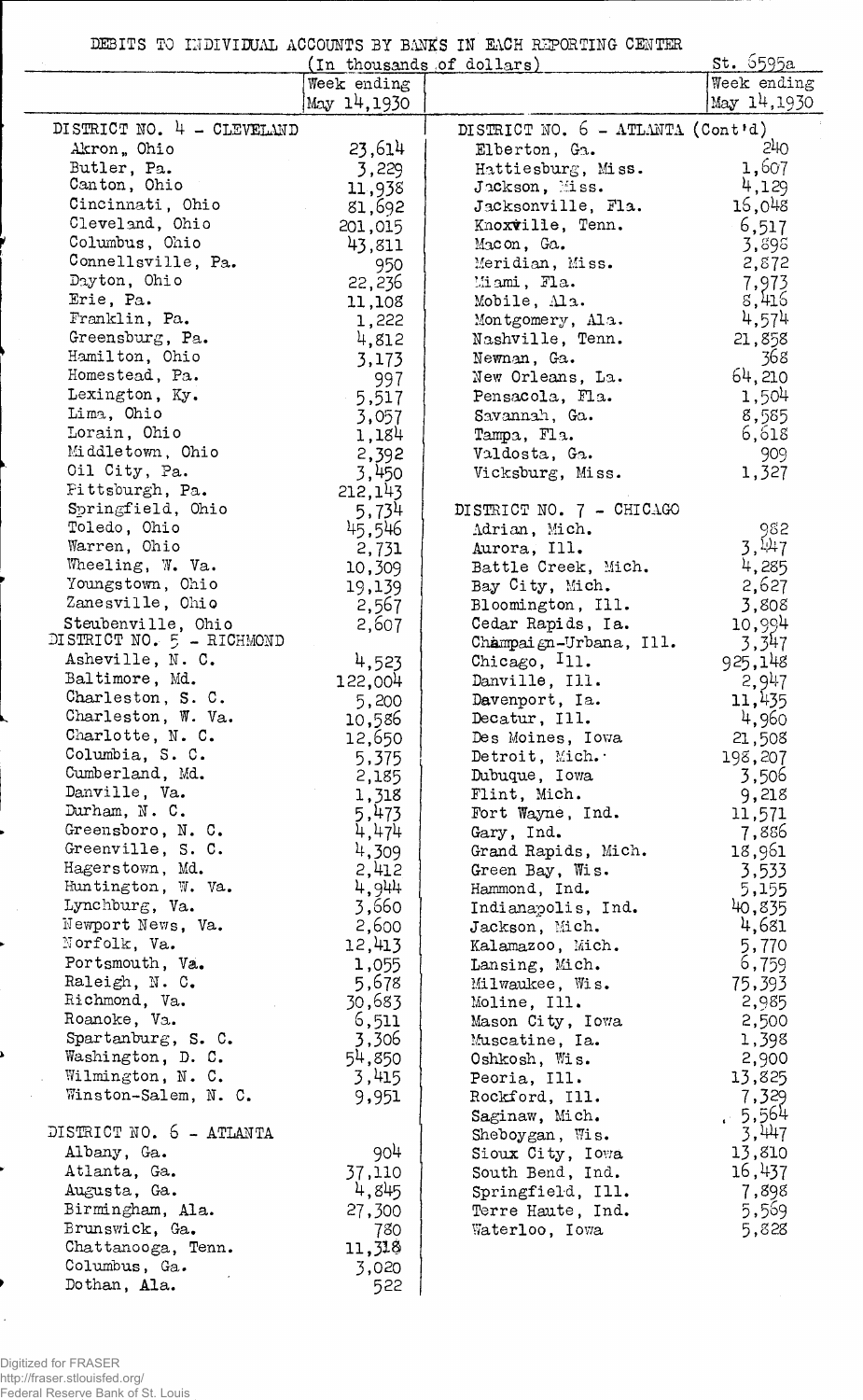|  |  |  |  |  |  |  |  |  |  | DEBITS TO INDIVIDUAL ACCOUNTS BY BANKS IN EACH REPORTING CENTER |  |
|--|--|--|--|--|--|--|--|--|--|-----------------------------------------------------------------|--|
|--|--|--|--|--|--|--|--|--|--|-----------------------------------------------------------------|--|

|                                     |             | (In thousands of dollars)                         | st. 6595a   |
|-------------------------------------|-------------|---------------------------------------------------|-------------|
|                                     | Week ending |                                                   | Week ending |
|                                     | May 14,1930 |                                                   | May 14,1930 |
| DISTRICT NO. 4 - CLEVELAND          |             | DISTRICT NO. $6 - \text{ATLANTA} (\text{Contid})$ |             |
| Akron, Ohio                         | 23,614      | Elberton, Ga.                                     | 240         |
| Butler, Pa.                         | 3,229       | Hattiesburg, Miss.                                | 1,607       |
| Canton, Ohio                        | 11,938      | Jackson, Miss.                                    | 4,129       |
| Cincinnati, Ohio                    | 81,692      | Jacksonville, Fla.                                | 16,048      |
| Cleveland, Ohio                     | 201,015     | Knoxville, Tenn.                                  | 6,517       |
| Columbus, Ohio                      | 43,811      | Macon, Ga.                                        | 3,898       |
| Connellsville, Pa.                  | 950         | Meridian, Miss.                                   | 2,872       |
| Dayton, Ohio                        | 22,236      | Miami, Fla.                                       | 7,973       |
| Erie, Pa.                           | 11,108      | Mobile, Ala.                                      | 8,415       |
| Franklin, Pa.                       | 1,222       | Montgomery, Ala.                                  | 4,574       |
| Greensburg, Pa.                     | 4,812       | Nashville, Tenn.                                  | 21,858      |
| Hamilton, Ohio                      | 3,173       | Newnan, Ga.                                       | 368         |
| Homestead, Pa.                      | 997         | New Orleans, La.                                  | 64,210      |
| Lexington, Ky.                      | 5,517       | Pensacola, Fla.                                   | 1,504       |
| Lima, Ohio                          | 3,057       | Savannah, Ga.                                     | 8,585       |
| Lorain, Ohio                        | 1,184       | Tampa, Fla.                                       | 6,618       |
| Middletown, Ohio                    | 2,392       | Valdosta, Ga.                                     | 909         |
| Oil City, Pa.                       | 3,450       | Vicksburg, Miss.                                  | 1,327       |
| Fittsburgh, Pa.                     | 212,143     |                                                   |             |
| Springfield, Ohio                   | 5,734       | DISTRICT NO. 7 - CHICAGO                          |             |
| Toledo, Ohio                        | 45,546      | Adrian, Mich.                                     | 982         |
| Warren, Ohio                        | 2,731       | Aurora, Ill.                                      | 3,447       |
| Wheeling, W. Va.                    | 10,309      | Battle Creek, Mich.                               | 4,285       |
| Youngstown, Ohio                    | 19,139      | Bay City, Mich.                                   | 2,627       |
| Zanesville, Ohio                    | 2,567       | Bloomington, Ill.                                 | 3,808       |
| Steubenville, Ohio                  | 2,607       | Cedar Rapids, Ia.                                 | 10,994      |
| DISTRICT NO. 5 - RICHMOND           |             | Champaign-Urbana, Ill.                            | 3,347       |
| Asheville, N. C.                    | 4,523       | Chicago, $111.$                                   | 925,148     |
| Baltimore, Md.                      | 122,004     | Danville, Ill.                                    | 2,947       |
| Charleston, S. C.                   | 5,200       | Davenport, Ia.                                    | 11,435      |
| Charleston, W. Va.                  | 10,586      | Decatur, Ill.                                     | 4,960       |
| Charlotte, N. C.                    | 12,650      | Des Moines, Iowa                                  | 21,508      |
| Columbia, S. C.                     | 5,375       | Detroit, Mich.                                    | 198,207     |
| Cumberland, Md.                     | 2,185       | Dubuque, Iowa                                     | 3,506       |
| Danville, Va.                       | 1,318       | Flint, Mich.                                      | 9,218       |
| Durham, N. C.                       | 5,473       | Fort Wayne, Ind.                                  | 11,571      |
| Greensboro, N. C.                   | 4,474       | Gary, Ind.                                        | 7,886       |
| Greenville, S. C.                   | 4,309       | Grand Rapids, Mich.                               | 18,961      |
| Hagerstown, Md.                     | 2,412       | Green Bay, Wis.                                   | 3,533       |
| Huntington, W. Va.                  | 4,944       | Hammond, Ind.                                     | 5,155       |
| Lynchburg, Va.                      | 3,660       | Indianapolis, Ind.                                | 40,835      |
| Newport News, Va.                   | 2,600       | Jackson, Mich.                                    | 4,681       |
| Norfolk, Va.                        | 12,413      | Kalamazoo, Mich.                                  | 5,770       |
| Portsmouth, Va.                     | 1,055       | Lansing, Mich.                                    | 6,759       |
| Raleigh, N. C.                      | 5,678       | Milwaukee, Wis.                                   | 75,393      |
| Richmond, Va.                       | 30,683      | Moline, Ill.                                      | 2,985       |
| Roanoke, Va.                        | 6,511       | Mason City, Iowa                                  | 2,500       |
| Spartanburg, S. C.                  | 3,306       | Muscatine, Ia.                                    | 1,398       |
| Washington, D. C.                   | 54,850      | Oshkosh, Wis.                                     | 2,900       |
| Wilmington, N. C.                   | 3,415       | Peoria, Ill.                                      | 13,825      |
| Winston-Salem, N. C.                | 9,951       | Rockford, Ill.                                    | 7,329       |
|                                     |             | Saginaw, Mich.                                    | .5.564      |
| DISTRICT NO. 6 - ATLANTA            |             | Sheboygan, Wis.                                   | 3,447       |
| Albany, Ga.                         | 904         | Sioux City, Iowa                                  | 13,810      |
| Atlanta, Ga.                        | 37,110      | South Bend, Ind.                                  | 16,437      |
| Augusta, Ga.                        | 4,845       | Springfield, Ill.                                 | 7,898       |
| Birmingham, Ala.                    | 27,300      | Terre Haute, Ind.                                 | 5,569       |
| Brunswick, Ga.                      | 780         | Waterloo, Iowa                                    | 5,828       |
| Chattanooga, Tenn.<br>Columbus, Ga. | 11,318      |                                                   |             |
|                                     | 3,020       |                                                   |             |
| Dothan, Ala.                        | 522         |                                                   |             |

 $\sim$ 

ı